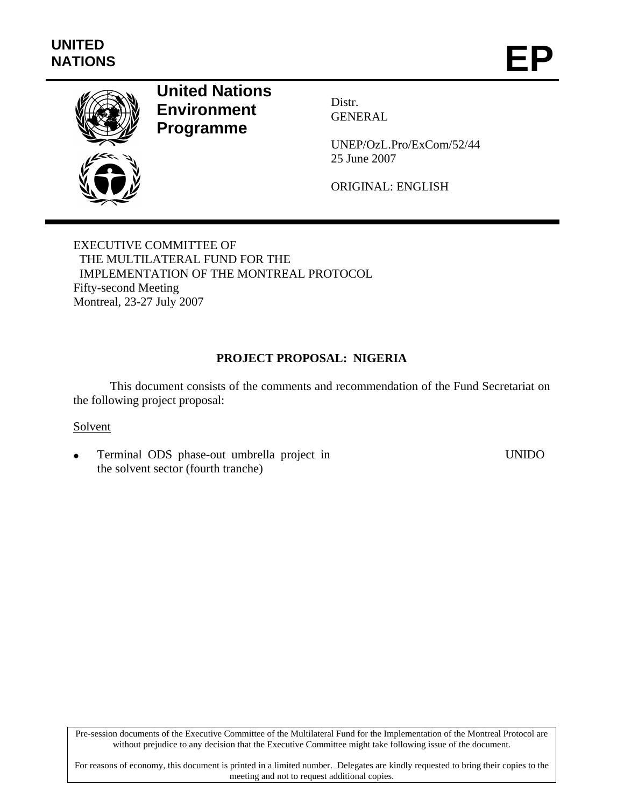

# **United Nations Environment Programme**

Distr. GENERAL

UNEP/OzL.Pro/ExCom/52/44 25 June 2007

ORIGINAL: ENGLISH

EXECUTIVE COMMITTEE OF THE MULTILATERAL FUND FOR THE IMPLEMENTATION OF THE MONTREAL PROTOCOL Fifty-second Meeting Montreal, 23-27 July 2007

# **PROJECT PROPOSAL: NIGERIA**

This document consists of the comments and recommendation of the Fund Secretariat on the following project proposal:

## Solvent

• Terminal ODS phase-out umbrella project in the solvent sector (fourth tranche)

UNIDO

Pre-session documents of the Executive Committee of the Multilateral Fund for the Implementation of the Montreal Protocol are without prejudice to any decision that the Executive Committee might take following issue of the document.

For reasons of economy, this document is printed in a limited number. Delegates are kindly requested to bring their copies to the meeting and not to request additional copies.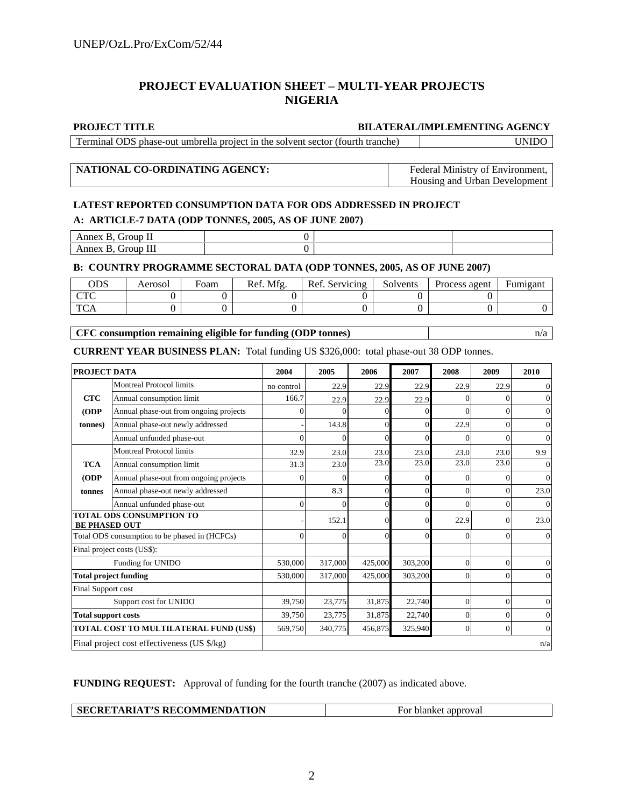## **PROJECT EVALUATION SHEET – MULTI-YEAR PROJECTS NIGERIA**

#### **PROJECT TITLE BILATERAL/IMPLEMENTING AGENCY**

| Terminal ODS phase-out umbrella project in the solvent sector (fourth tranche) |  |
|--------------------------------------------------------------------------------|--|

### **NATIONAL CO-ORDINATING AGENCY:** Federal Ministry of Environment,

Housing and Urban Development

## **LATEST REPORTED CONSUMPTION DATA FOR ODS ADDRESSED IN PROJECT A: ARTICLE-7 DATA (ODP TONNES, 2005, AS OF JUNE 2007)**

| Group II<br>Annex B.  |  |  |
|-----------------------|--|--|
| Group III<br>Annex B, |  |  |

### **B: COUNTRY PROGRAMME SECTORAL DATA (ODP TONNES, 2005, AS OF JUNE 2007)**

| ODS        | Aerosol | Foam | Ref. Mfg. | Ref. Servicing | Solvents | Process agent | -<br>Fumigant |
|------------|---------|------|-----------|----------------|----------|---------------|---------------|
| $\Gamma$   |         |      |           |                |          |               |               |
| <b>TCA</b> |         |      |           |                |          |               |               |

### **CFC consumption remaining eligible for funding (ODP tonnes)**  $n/a$

**CURRENT YEAR BUSINESS PLAN:** Total funding US \$326,000: total phase-out 38 ODP tonnes.

| PROJECT DATA               |                                               | 2004       | 2005         | 2006    | 2007     | 2008           | 2009     | 2010         |
|----------------------------|-----------------------------------------------|------------|--------------|---------|----------|----------------|----------|--------------|
|                            | <b>Montreal Protocol limits</b>               | no control | 22.9         | 22.9    | 22.9     | 22.9           | 22.9     | 0            |
| <b>CTC</b>                 | Annual consumption limit                      | 166.7      | 22.9         | 22.9    | 22.9     | $\Omega$       | $\Omega$ |              |
| (ODP)                      | Annual phase-out from ongoing projects        | 0          | $\theta$     |         |          | $\theta$       | $\Omega$ | $\theta$     |
| (tonnes)                   | Annual phase-out newly addressed              |            | 143.8        |         |          | 22.9           | $\Omega$ | $\theta$     |
|                            | Annual unfunded phase-out                     |            | $\Omega$     |         |          | $\Omega$       | $\Omega$ | $\Omega$     |
|                            | Montreal Protocol limits                      | 32.9       | 23.0         | 23.0    | 23.0     | 23.0           | 23.0     | 9.9          |
| <b>TCA</b>                 | Annual consumption limit                      | 31.3       | 23.0         | 23.0    | 23.0     | 23.0           | 23.0     | $\Omega$     |
| (ODP)                      | Annual phase-out from ongoing projects        | $\Omega$   | $\Omega$     |         |          | $\Omega$       | $\Omega$ | $\theta$     |
| tonnes                     | Annual phase-out newly addressed              |            | 8.3          |         |          | $\theta$       | $\Omega$ | 23.0         |
|                            | Annual unfunded phase-out                     | $\Omega$   | $\Omega$     | 0       | $\Omega$ | $\Omega$       | $\Omega$ | $\Omega$     |
| <b>BE PHASED OUT</b>       | <b>TOTAL ODS CONSUMPTION TO</b>               |            | 152.1        |         |          | 22.9           | $\Omega$ | 23.0         |
|                            | Total ODS consumption to be phased in (HCFCs) | 0          | $\mathbf{0}$ | 0       |          | $\Omega$       | $\Omega$ | $\Omega$     |
|                            | Final project costs (US\$):                   |            |              |         |          |                |          |              |
|                            | Funding for UNIDO                             | 530,000    | 317,000      | 425,000 | 303,200  | $\Omega$       | $\theta$ | $\mathbf{0}$ |
|                            | <b>Total project funding</b>                  | 530,000    | 317,000      | 425,000 | 303,200  | $\Omega$       | $\Omega$ | $\Omega$     |
| Final Support cost         |                                               |            |              |         |          |                |          |              |
|                            | Support cost for UNIDO                        | 39,750     | 23,775       | 31.875  | 22,740   | $\mathbf{0}$   | $\theta$ | $\theta$     |
| <b>Total support costs</b> |                                               | 39,750     | 23,775       | 31,875  | 22,740   | $\overline{0}$ | $\Omega$ | $\theta$     |
|                            | TOTAL COST TO MULTILATERAL FUND (US\$)        | 569,750    | 340,775      | 456,875 | 325,940  | $\mathbf{0}$   | $\Omega$ | $\theta$     |
|                            | Final project cost effectiveness (US \$/kg)   |            |              |         |          |                |          | n/a          |

**FUNDING REQUEST:** Approval of funding for the fourth tranche (2007) as indicated above.

| <b>SECRETARIAT'S RECOMMENDATION</b> | For blanket approval |
|-------------------------------------|----------------------|
|-------------------------------------|----------------------|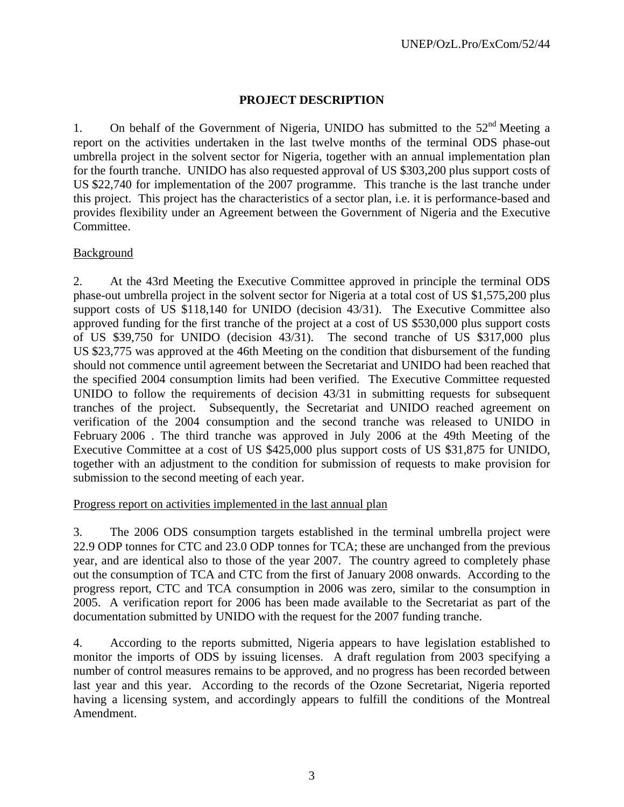# **PROJECT DESCRIPTION**

1. On behalf of the Government of Nigeria, UNIDO has submitted to the  $52<sup>nd</sup>$  Meeting a report on the activities undertaken in the last twelve months of the terminal ODS phase-out umbrella project in the solvent sector for Nigeria, together with an annual implementation plan for the fourth tranche. UNIDO has also requested approval of US \$303,200 plus support costs of US \$22,740 for implementation of the 2007 programme. This tranche is the last tranche under this project. This project has the characteristics of a sector plan, i.e. it is performance-based and provides flexibility under an Agreement between the Government of Nigeria and the Executive Committee.

# Background

2. At the 43rd Meeting the Executive Committee approved in principle the terminal ODS phase-out umbrella project in the solvent sector for Nigeria at a total cost of US \$1,575,200 plus support costs of US \$118,140 for UNIDO (decision 43/31). The Executive Committee also approved funding for the first tranche of the project at a cost of US \$530,000 plus support costs of US \$39,750 for UNIDO (decision 43/31). The second tranche of US \$317,000 plus US \$23,775 was approved at the 46th Meeting on the condition that disbursement of the funding should not commence until agreement between the Secretariat and UNIDO had been reached that the specified 2004 consumption limits had been verified. The Executive Committee requested UNIDO to follow the requirements of decision 43/31 in submitting requests for subsequent tranches of the project. Subsequently, the Secretariat and UNIDO reached agreement on verification of the 2004 consumption and the second tranche was released to UNIDO in February 2006 . The third tranche was approved in July 2006 at the 49th Meeting of the Executive Committee at a cost of US \$425,000 plus support costs of US \$31,875 for UNIDO, together with an adjustment to the condition for submission of requests to make provision for submission to the second meeting of each year.

# Progress report on activities implemented in the last annual plan

3. The 2006 ODS consumption targets established in the terminal umbrella project were 22.9 ODP tonnes for CTC and 23.0 ODP tonnes for TCA; these are unchanged from the previous year, and are identical also to those of the year 2007. The country agreed to completely phase out the consumption of TCA and CTC from the first of January 2008 onwards. According to the progress report, CTC and TCA consumption in 2006 was zero, similar to the consumption in 2005. A verification report for 2006 has been made available to the Secretariat as part of the documentation submitted by UNIDO with the request for the 2007 funding tranche.

4. According to the reports submitted, Nigeria appears to have legislation established to monitor the imports of ODS by issuing licenses. A draft regulation from 2003 specifying a number of control measures remains to be approved, and no progress has been recorded between last year and this year. According to the records of the Ozone Secretariat, Nigeria reported having a licensing system, and accordingly appears to fulfill the conditions of the Montreal Amendment.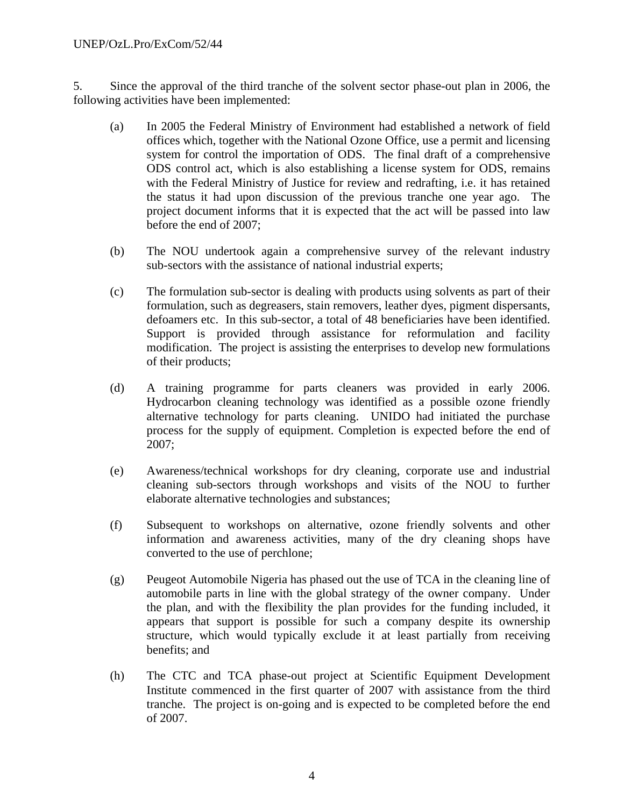5. Since the approval of the third tranche of the solvent sector phase-out plan in 2006, the following activities have been implemented:

- (a) In 2005 the Federal Ministry of Environment had established a network of field offices which, together with the National Ozone Office, use a permit and licensing system for control the importation of ODS. The final draft of a comprehensive ODS control act, which is also establishing a license system for ODS, remains with the Federal Ministry of Justice for review and redrafting, i.e. it has retained the status it had upon discussion of the previous tranche one year ago. The project document informs that it is expected that the act will be passed into law before the end of 2007;
- (b) The NOU undertook again a comprehensive survey of the relevant industry sub-sectors with the assistance of national industrial experts;
- (c) The formulation sub-sector is dealing with products using solvents as part of their formulation, such as degreasers, stain removers, leather dyes, pigment dispersants, defoamers etc. In this sub-sector, a total of 48 beneficiaries have been identified. Support is provided through assistance for reformulation and facility modification. The project is assisting the enterprises to develop new formulations of their products;
- (d) A training programme for parts cleaners was provided in early 2006. Hydrocarbon cleaning technology was identified as a possible ozone friendly alternative technology for parts cleaning. UNIDO had initiated the purchase process for the supply of equipment. Completion is expected before the end of 2007;
- (e) Awareness/technical workshops for dry cleaning, corporate use and industrial cleaning sub-sectors through workshops and visits of the NOU to further elaborate alternative technologies and substances;
- (f) Subsequent to workshops on alternative, ozone friendly solvents and other information and awareness activities, many of the dry cleaning shops have converted to the use of perchlone;
- (g) Peugeot Automobile Nigeria has phased out the use of TCA in the cleaning line of automobile parts in line with the global strategy of the owner company. Under the plan, and with the flexibility the plan provides for the funding included, it appears that support is possible for such a company despite its ownership structure, which would typically exclude it at least partially from receiving benefits; and
- (h) The CTC and TCA phase-out project at Scientific Equipment Development Institute commenced in the first quarter of 2007 with assistance from the third tranche. The project is on-going and is expected to be completed before the end of 2007.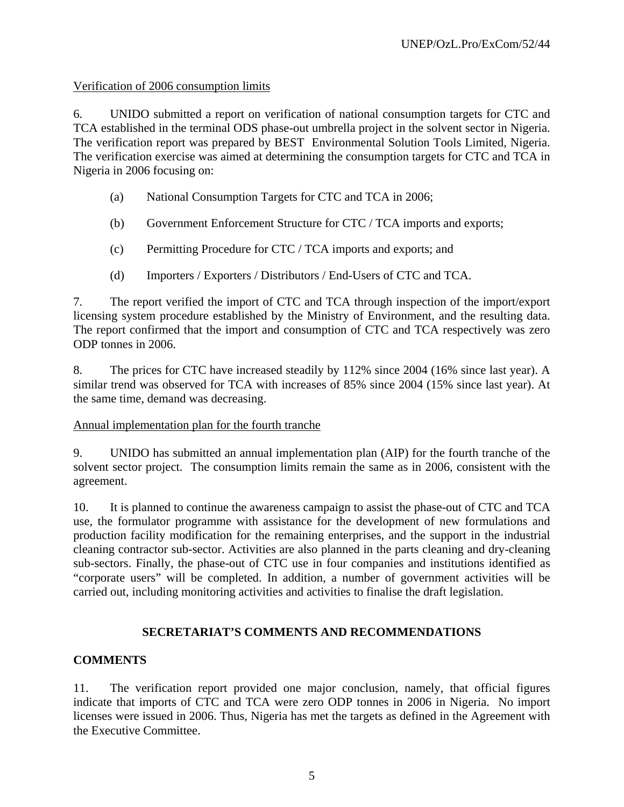# Verification of 2006 consumption limits

6. UNIDO submitted a report on verification of national consumption targets for CTC and TCA established in the terminal ODS phase-out umbrella project in the solvent sector in Nigeria. The verification report was prepared by BEST Environmental Solution Tools Limited, Nigeria. The verification exercise was aimed at determining the consumption targets for CTC and TCA in Nigeria in 2006 focusing on:

- (a) National Consumption Targets for CTC and TCA in 2006;
- (b) Government Enforcement Structure for CTC / TCA imports and exports;
- (c) Permitting Procedure for CTC / TCA imports and exports; and
- (d) Importers / Exporters / Distributors / End-Users of CTC and TCA.

7. The report verified the import of CTC and TCA through inspection of the import/export licensing system procedure established by the Ministry of Environment, and the resulting data. The report confirmed that the import and consumption of CTC and TCA respectively was zero ODP tonnes in 2006.

8. The prices for CTC have increased steadily by 112% since 2004 (16% since last year). A similar trend was observed for TCA with increases of 85% since 2004 (15% since last year). At the same time, demand was decreasing.

## Annual implementation plan for the fourth tranche

9. UNIDO has submitted an annual implementation plan (AIP) for the fourth tranche of the solvent sector project. The consumption limits remain the same as in 2006, consistent with the agreement.

10. It is planned to continue the awareness campaign to assist the phase-out of CTC and TCA use, the formulator programme with assistance for the development of new formulations and production facility modification for the remaining enterprises, and the support in the industrial cleaning contractor sub-sector. Activities are also planned in the parts cleaning and dry-cleaning sub-sectors. Finally, the phase-out of CTC use in four companies and institutions identified as "corporate users" will be completed. In addition, a number of government activities will be carried out, including monitoring activities and activities to finalise the draft legislation.

# **SECRETARIAT'S COMMENTS AND RECOMMENDATIONS**

# **COMMENTS**

11. The verification report provided one major conclusion, namely, that official figures indicate that imports of CTC and TCA were zero ODP tonnes in 2006 in Nigeria. No import licenses were issued in 2006. Thus, Nigeria has met the targets as defined in the Agreement with the Executive Committee.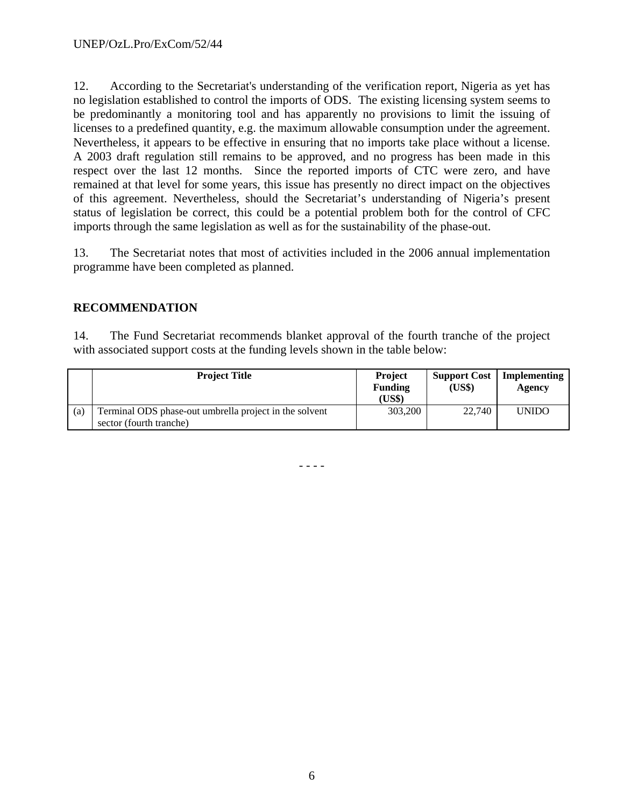12. According to the Secretariat's understanding of the verification report, Nigeria as yet has no legislation established to control the imports of ODS. The existing licensing system seems to be predominantly a monitoring tool and has apparently no provisions to limit the issuing of licenses to a predefined quantity, e.g. the maximum allowable consumption under the agreement. Nevertheless, it appears to be effective in ensuring that no imports take place without a license. A 2003 draft regulation still remains to be approved, and no progress has been made in this respect over the last 12 months. Since the reported imports of CTC were zero, and have remained at that level for some years, this issue has presently no direct impact on the objectives of this agreement. Nevertheless, should the Secretariat's understanding of Nigeria's present status of legislation be correct, this could be a potential problem both for the control of CFC imports through the same legislation as well as for the sustainability of the phase-out.

13. The Secretariat notes that most of activities included in the 2006 annual implementation programme have been completed as planned.

# **RECOMMENDATION**

14. The Fund Secretariat recommends blanket approval of the fourth tranche of the project with associated support costs at the funding levels shown in the table below:

|     | <b>Project Title</b>                                                              | <b>Project</b><br><b>Funding</b><br>(US\$) | <b>Support Cost</b><br>(US\$) | Implementing<br>Agency |
|-----|-----------------------------------------------------------------------------------|--------------------------------------------|-------------------------------|------------------------|
| (a) | Terminal ODS phase-out umbrella project in the solvent<br>sector (fourth tranche) | 303,200                                    | 22,740                        | <b>UNIDO</b>           |

- - - -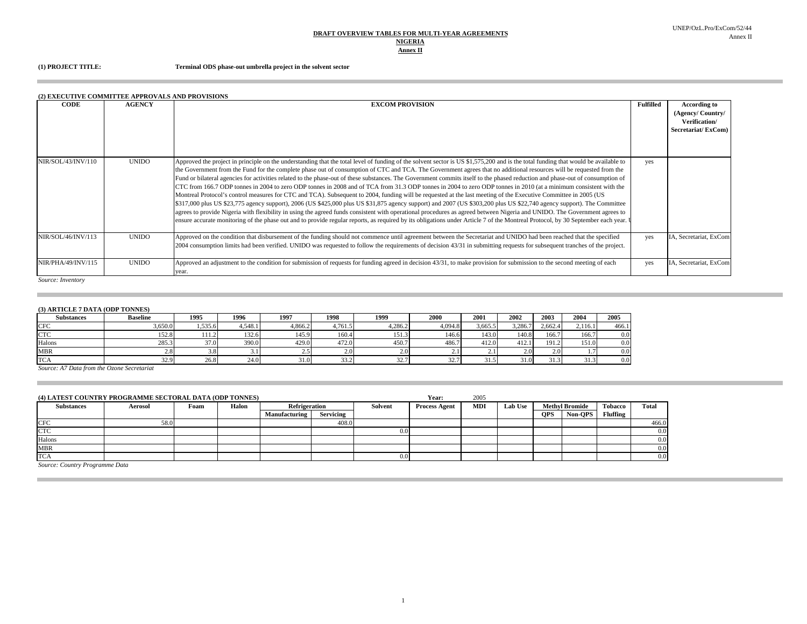#### **Annex II DRAFT OVERVIEW TABLES FOR MULTI-YEAR AGREEMENTS NIGERIA**

 $\sim$ 

**(1) PROJECT TITLE: Terminal ODS phase-out umbrella project in the solvent sector** 

| (2) EXECUTIVE COMMITTEE APPROVALS AND PROVISIONS |               |                                                                                                                                                                                                                                                                                                                                                                                                                                                                                                                                                                                                                                                                                                                                                                                                                                                                                                                                                                                                                                                                                                                                                                                                                                                                                                                                                                                                                                 |                  |                                                                                |  |  |  |  |  |  |
|--------------------------------------------------|---------------|---------------------------------------------------------------------------------------------------------------------------------------------------------------------------------------------------------------------------------------------------------------------------------------------------------------------------------------------------------------------------------------------------------------------------------------------------------------------------------------------------------------------------------------------------------------------------------------------------------------------------------------------------------------------------------------------------------------------------------------------------------------------------------------------------------------------------------------------------------------------------------------------------------------------------------------------------------------------------------------------------------------------------------------------------------------------------------------------------------------------------------------------------------------------------------------------------------------------------------------------------------------------------------------------------------------------------------------------------------------------------------------------------------------------------------|------------------|--------------------------------------------------------------------------------|--|--|--|--|--|--|
| <b>CODE</b>                                      | <b>AGENCY</b> | <b>EXCOM PROVISION</b>                                                                                                                                                                                                                                                                                                                                                                                                                                                                                                                                                                                                                                                                                                                                                                                                                                                                                                                                                                                                                                                                                                                                                                                                                                                                                                                                                                                                          | <b>Fulfilled</b> | <b>According to</b><br>(Agency/Country/<br>Verification/<br>Secretariat/ExCom) |  |  |  |  |  |  |
| NIR/SOL/43/INV/110                               | <b>UNIDO</b>  | Approved the project in principle on the understanding that the total level of funding of the solvent sector is US \$1,575,200 and is the total funding that would be available to<br>the Government from the Fund for the complete phase out of consumption of CTC and TCA. The Government agrees that no additional resources will be requested from the<br>Fund or bilateral agencies for activities related to the phase-out of these substances. The Government commits itself to the phased reduction and phase-out of consumption of<br>CTC from 166.7 ODP tonnes in 2004 to zero ODP tonnes in 2008 and of TCA from 31.3 ODP tonnes in 2004 to zero ODP tonnes in 2010 (at a minimum consistent with the<br>Montreal Protocol's control measures for CTC and TCA). Subsequent to 2004, funding will be requested at the last meeting of the Executive Committee in 2005 (US<br>\$317,000 plus US \$23,775 agency support), 2006 (US \$425,000 plus US \$31,875 agency support) and 2007 (US \$303,200 plus US \$22,740 agency support). The Committee<br>agrees to provide Nigeria with flexibility in using the agreed funds consistent with operational procedures as agreed between Nigeria and UNIDO. The Government agrees to<br>ensure accurate monitoring of the phase out and to provide regular reports, as required by its obligations under Article 7 of the Montreal Protocol, by 30 September each year. I | yes              |                                                                                |  |  |  |  |  |  |
| NIR/SOL/46/INV/113                               | <b>UNIDO</b>  | Approved on the condition that disbursement of the funding should not commence until agreement between the Secretariat and UNIDO had been reached that the specified<br>2004 consumption limits had been verified. UNIDO was requested to follow the requirements of decision 43/31 in submitting requests for subsequent tranches of the project.                                                                                                                                                                                                                                                                                                                                                                                                                                                                                                                                                                                                                                                                                                                                                                                                                                                                                                                                                                                                                                                                              | yes              | IA, Secretariat, ExCom                                                         |  |  |  |  |  |  |
| NIR/PHA/49/INV/115<br>Source: Inventory          | <b>UNIDO</b>  | Approved an adjustment to the condition for submission of requests for funding agreed in decision 43/31, to make provision for submission to the second meeting of each<br>vear.                                                                                                                                                                                                                                                                                                                                                                                                                                                                                                                                                                                                                                                                                                                                                                                                                                                                                                                                                                                                                                                                                                                                                                                                                                                | ves              | IA, Secretariat, ExCom                                                         |  |  |  |  |  |  |

#### **College**

**College** 

**COL** 

#### **(3) ARTICLE 7 DATA (ODP TONNES)**

| <b>Substances</b> | <b>Baseline</b> | 1995     | 1996   | 1997    | 1998           | 1999         | 2000         | 2001    | 2002             | 2003        | 2004    | 2005             |
|-------------------|-----------------|----------|--------|---------|----------------|--------------|--------------|---------|------------------|-------------|---------|------------------|
| <b>CFC</b>        | 3.650.0         | .535.6   | .548.1 | 4,866.2 | 4,761.5        | 4.286.2      | 4,094.8      | 3.665.5 | 3.286.           | 2.662.      | 2.116.1 | 466.1            |
| <b>CTC</b>        | 152.8           | 111<br>. | 132.6  | 145.9   | 160.4          | 151.3        | 146.6        | 143.0   | 140.8            | 166.7       | 166.7   | 0.0 <sub>1</sub> |
| Halons            | 285.3           | 37.0     | 390.0  | 429.0   | 472.0          | 450.7        | 486.7        | 412.0   | 412.1            | 191.2       | 151.0   | 0.0 <sub>1</sub> |
| <b>MBR</b>        | $\angle$ .0     |          |        |         | י הי           |              | <u>، ، ،</u> | 2.1     | 2.0 <sup>1</sup> | 2.0         |         | 0.0              |
| <b>TCA</b>        | 32.9            | 26.8     | 24.0   | 31.0    | 337<br>ے ۔ ۔ ۔ | 227<br>، ، ۷ | 32.7         | 31.5    | 31.0             | $\sim$<br>. | 31.3    | 0.0 <sub>1</sub> |

*Source: A7 Data from the Ozone Secretariat*

|                                                   | (4) LATEST COUNTRY PROGRAMME SECTORAL DATA (ODP TONNES) |      |       |               |           |                  |                      | 2005       |                |            |                       |                |                  |
|---------------------------------------------------|---------------------------------------------------------|------|-------|---------------|-----------|------------------|----------------------|------------|----------------|------------|-----------------------|----------------|------------------|
| <b>Substances</b>                                 | Aerosol                                                 | Foam | Halon | Refrigeration |           | Solvent          | <b>Process Agent</b> | <b>MDI</b> | <b>Lab Use</b> |            | <b>Methyl Bromide</b> | <b>Tobacco</b> | Total            |
|                                                   |                                                         |      |       | Manufacturing | Servicing |                  |                      |            |                | <b>OPS</b> | Non-OPS               | Fluffing       |                  |
| <b>CFC</b>                                        | 58.0                                                    |      |       |               | 408.0     |                  |                      |            |                |            |                       |                | 466.0            |
| <b>CTC</b>                                        |                                                         |      |       |               |           | 0.0 <sub>l</sub> |                      |            |                |            |                       |                | 0.0 <sub>1</sub> |
| Halons                                            |                                                         |      |       |               |           |                  |                      |            |                |            |                       |                | 0.0              |
| <b>MBR</b>                                        |                                                         |      |       |               |           |                  |                      |            |                |            |                       |                | 0.0 <sub>1</sub> |
| <b>TCA</b>                                        |                                                         |      |       |               |           | 0.0              |                      |            |                |            |                       |                | 0.0              |
| $C_1, \ldots, C_n, \ldots, C_n, C_1, \ldots, C_n$ |                                                         |      |       |               |           |                  |                      |            |                |            |                       |                |                  |

*Source: Country Programme Data*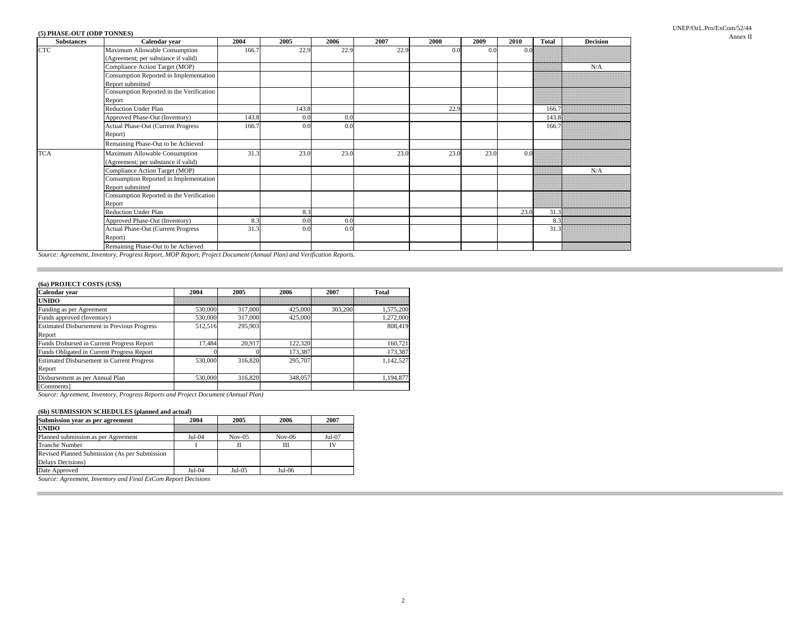| <b>Substances</b> | Calendar year                            | 2004  | 2005  | 2006 | 2007 | 2008 | 2009 | 2010 | <b>Total</b>         | <b>Decision</b>                                   |
|-------------------|------------------------------------------|-------|-------|------|------|------|------|------|----------------------|---------------------------------------------------|
| <b>CTC</b>        | Maximum Allowable Consumption            | 166.7 | 22.9  | 22.9 | 22.9 | 0.0  | 0.0  | 0.05 |                      |                                                   |
|                   | (Agreement; per substance if valid)      |       |       |      |      |      |      |      |                      | <u> Karabatan Kabupatén Tiduluhan Propinsi Ju</u> |
|                   | Compliance Action Target (MOP)           |       |       |      |      |      |      |      | Millillilli          | N/A                                               |
|                   | Consumption Reported in Implementation   |       |       |      |      |      |      |      |                      |                                                   |
|                   | Report submitted                         |       |       |      |      |      |      |      |                      |                                                   |
|                   | Consumption Reported in the Verification |       |       |      |      |      |      |      |                      |                                                   |
|                   | Report                                   |       |       |      |      |      |      |      |                      |                                                   |
|                   | <b>Reduction Under Plan</b>              |       | 143.8 |      |      | 22.9 |      |      | 166.7                |                                                   |
|                   | Approved Phase-Out (Inventory)           | 143.8 | 0.0   | 0.0  |      |      |      |      | 143.8                |                                                   |
|                   | Actual Phase-Out (Current Progress       | 166.7 | 0.0   | 0.0  |      |      |      |      | 166.7                |                                                   |
|                   | Report)                                  |       |       |      |      |      |      |      |                      |                                                   |
|                   | Remaining Phase-Out to be Achieved       |       |       |      |      |      |      |      |                      |                                                   |
| <b>TCA</b>        | Maximum Allowable Consumption            | 31.3  | 23.0  | 23.0 | 23.0 | 23.0 | 23.0 |      | 0.0 <i>011111111</i> |                                                   |
|                   | (Agreement; per substance if valid)      |       |       |      |      |      |      |      |                      | IIIIIIIIIIIIIIIIIIIIIIII                          |
|                   | Compliance Action Target (MOP)           |       |       |      |      |      |      |      | MMMMM                | N/A                                               |
|                   | Consumption Reported in Implementation   |       |       |      |      |      |      |      |                      |                                                   |
|                   | Report submitted                         |       |       |      |      |      |      |      |                      |                                                   |
|                   | Consumption Reported in the Verification |       |       |      |      |      |      |      |                      |                                                   |
|                   | Report                                   |       |       |      |      |      |      |      |                      |                                                   |
|                   | Reduction Under Plan                     |       | 8.3   |      |      |      |      | 23.0 |                      | 31.3 <i>. William William William 1</i>           |
|                   | Approved Phase-Out (Inventory)           | 8.3   | 0.0   | 0.0  |      |      |      |      |                      | 8.3 <i>/////////////////////////////</i>          |
|                   | Actual Phase-Out (Current Progress       | 31.3  | 0.f   | 0.0  |      |      |      |      | 31.3                 |                                                   |
|                   | Report)                                  |       |       |      |      |      |      |      |                      |                                                   |
|                   | Remaining Phase-Out to be Achieved       |       |       |      |      |      |      |      |                      |                                                   |

*Source: Agreement, Inventory, Progress Report, MOP Report, Project Document (Annual Plan) and Verification Reports.*

#### **(6a) PROJECT COSTS (US\$)**

m.

| Calendar year                                      | 2004    | 2005    | 2006    | 2007    | <b>Total</b> |
|----------------------------------------------------|---------|---------|---------|---------|--------------|
| <b>UNIDO</b>                                       |         |         |         |         |              |
| Funding as per Agreement                           | 530,000 | 317,000 | 425,000 | 303.200 | 1,575,200    |
| Funds approved (Inventory)                         | 530,000 | 317,000 | 425,000 |         | 1,272,000    |
| <b>Estimated Disbursement in Previous Progress</b> | 512,516 | 295,903 |         |         | 808.419      |
| Report                                             |         |         |         |         |              |
| Funds Disbursed in Current Progress Report         | 17.484  | 20.917  | 122.320 |         | 160,721      |
| Funds Obligated in Current Progress Report         |         |         | 173,387 |         | 173,387      |
| <b>Estimated Disbursement in Current Progress</b>  | 530,000 | 316,820 | 295,707 |         | 1.142.527    |
| Report                                             |         |         |         |         |              |
| Disbursement as per Annual Plan                    | 530,000 | 316,820 | 348,057 |         | 1.194.877    |
| [Comments]                                         |         |         |         |         |              |

*Source: Agreement, Inventory, Progress Reports and Project Document (Annual Plan)*

#### **(6b) SUBMISSION SCHEDULES (planned and actual)**

| Submission year as per agreement                              | 2004     | 2005     | 2006     | 2007     |
|---------------------------------------------------------------|----------|----------|----------|----------|
| <b>UNIDO</b>                                                  |          |          |          |          |
| Planned submission as per Agreement                           | $Jul-04$ | $Nov-05$ | $Nov-06$ | $Jul-07$ |
| <b>Tranche Number</b>                                         |          |          | Ш        |          |
| Revised Planned Submission (As per Submission                 |          |          |          |          |
| Delays Decisions)                                             |          |          |          |          |
| Date Approved                                                 | $Jul-04$ | $Jul-05$ | Jul-06   |          |
| Source: Agreement, Inventory and Final ExCom Report Decisions |          |          |          |          |

2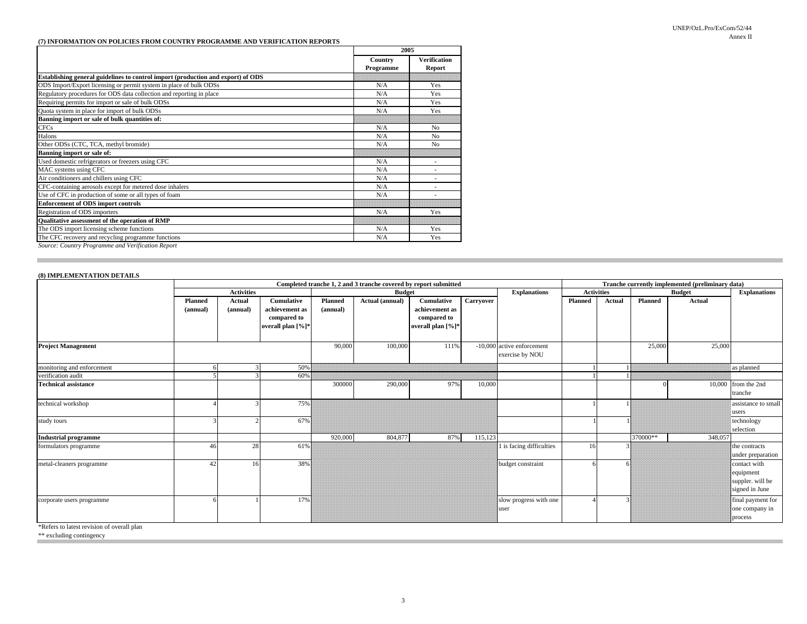#### **(7) INFORMATION ON POLICIES FROM COUNTRY PROGRAMME AND VERIFICATION REPORTS**

|                                                                                                         |           | 2005                |  |  |
|---------------------------------------------------------------------------------------------------------|-----------|---------------------|--|--|
|                                                                                                         | Country   | <b>Verification</b> |  |  |
|                                                                                                         | Programme | Report              |  |  |
| Establishing general guidelines to control import (production and export) of ODS                        |           |                     |  |  |
| ODS Import/Export licensing or permit system in place of bulk ODSs                                      | N/A       | Yes                 |  |  |
| Regulatory procedures for ODS data collection and reporting in place                                    | N/A       | Yes                 |  |  |
| Requiring permits for import or sale of bulk ODSs                                                       | N/A       | Yes                 |  |  |
| Quota system in place for import of bulk ODSs                                                           | N/A       | Yes                 |  |  |
| Banning import or sale of bulk quantities of:                                                           |           |                     |  |  |
| <b>CFCs</b>                                                                                             | N/A       | No                  |  |  |
| Halons                                                                                                  | N/A       | N <sub>0</sub>      |  |  |
| Other ODSs (CTC, TCA, methyl bromide)                                                                   | N/A       | N <sub>o</sub>      |  |  |
| Banning import or sale of:                                                                              |           |                     |  |  |
| Used domestic refrigerators or freezers using CFC                                                       | N/A       |                     |  |  |
| MAC systems using CFC                                                                                   | N/A       |                     |  |  |
| Air conditioners and chillers using CFC                                                                 | N/A       |                     |  |  |
| CFC-containing aerosols except for metered dose inhalers                                                | N/A       |                     |  |  |
| Use of CFC in production of some or all types of foam                                                   | N/A       |                     |  |  |
| <b>Enforcement of ODS import controls</b>                                                               |           |                     |  |  |
| Registration of ODS importers                                                                           | N/A       | Yes                 |  |  |
| Qualitative assessment of the operation of RMP                                                          |           |                     |  |  |
| The ODS import licensing scheme functions                                                               | N/A       | Yes                 |  |  |
| The CFC recovery and recycling programme functions                                                      | N/A       | Yes                 |  |  |
| $C_1, \ldots, C_n, \ldots, C_n$ . The company of $\mathcal{H}$ and $C_1, \ldots, C_n$ and $\mathcal{H}$ |           |                     |  |  |

*Source: Country Programme and Verification Report*

#### **(8) IMPLEMENTATION DETAILS**

**College** 

|                                                                        | Completed tranche 1, 2 and 3 tranche covered by report submitted |                    |                                                                  |                     |                 |                                                                  | Tranche currently implemented (preliminary data) |                                               |         |        |               |         |                                                                 |
|------------------------------------------------------------------------|------------------------------------------------------------------|--------------------|------------------------------------------------------------------|---------------------|-----------------|------------------------------------------------------------------|--------------------------------------------------|-----------------------------------------------|---------|--------|---------------|---------|-----------------------------------------------------------------|
|                                                                        | <b>Activities</b>                                                |                    |                                                                  | <b>Budget</b>       |                 |                                                                  |                                                  | <b>Explanations</b><br><b>Activities</b>      |         |        | <b>Budget</b> |         | <b>Explanations</b>                                             |
|                                                                        | <b>Planned</b><br>(annual)                                       | Actual<br>(annual) | Cumulative<br>achievement as<br>compared to<br>overall plan [%]* | Planned<br>(annual) | Actual (annual) | Cumulative<br>achievement as<br>compared to<br>overall plan [%]* | Carryover                                        |                                               | Planned | Actual | Planned       | Actual  |                                                                 |
| <b>Project Management</b>                                              |                                                                  |                    |                                                                  | 90,000              | 100,000         | 111%                                                             |                                                  | -10,000 active enforcement<br>exercise by NOU |         |        | 25,000        | 25,000  |                                                                 |
| monitoring and enforcement                                             |                                                                  |                    | 50%                                                              |                     |                 |                                                                  |                                                  |                                               |         |        |               |         |                                                                 |
| verification audit                                                     |                                                                  |                    | 60%                                                              |                     |                 |                                                                  | 9999                                             |                                               |         |        |               |         |                                                                 |
| <b>Technical assistance</b>                                            |                                                                  |                    |                                                                  | 300000              | 290,000         | 97%                                                              | 10,000                                           |                                               |         |        |               |         | 10,000 from the 2nd<br>tranche                                  |
| technical workshop                                                     |                                                                  |                    | 75%                                                              |                     |                 |                                                                  |                                                  |                                               |         |        |               |         | assistance to small<br>users                                    |
| study tours                                                            |                                                                  |                    | 67%                                                              |                     |                 |                                                                  |                                                  |                                               |         |        |               |         | technology<br>selection                                         |
| <b>Industrial programme</b>                                            |                                                                  |                    |                                                                  | 920,000             | 804,877         | 87%                                                              | 115,123                                          |                                               |         |        | 370000**      | 348,057 |                                                                 |
| formulators programme                                                  | 46                                                               | 28                 | 61%                                                              |                     |                 |                                                                  |                                                  | is facing difficulties                        | 16      |        |               |         | the contracts<br>under preparation                              |
| metal-cleaners programme                                               | 42                                                               | 16                 | 38%                                                              |                     |                 |                                                                  |                                                  | budget constraint                             |         |        |               |         | contact with<br>equipment<br>suppler. will be<br>signed in June |
| corporate users programme                                              |                                                                  |                    | 17%                                                              |                     |                 |                                                                  |                                                  | slow progress with one<br>luser]              |         |        |               |         | final payment for<br>one company in<br>process                  |
| *Refers to latest revision of overall plan<br>** excluding contingency |                                                                  |                    |                                                                  |                     |                 |                                                                  |                                                  |                                               |         |        |               |         |                                                                 |